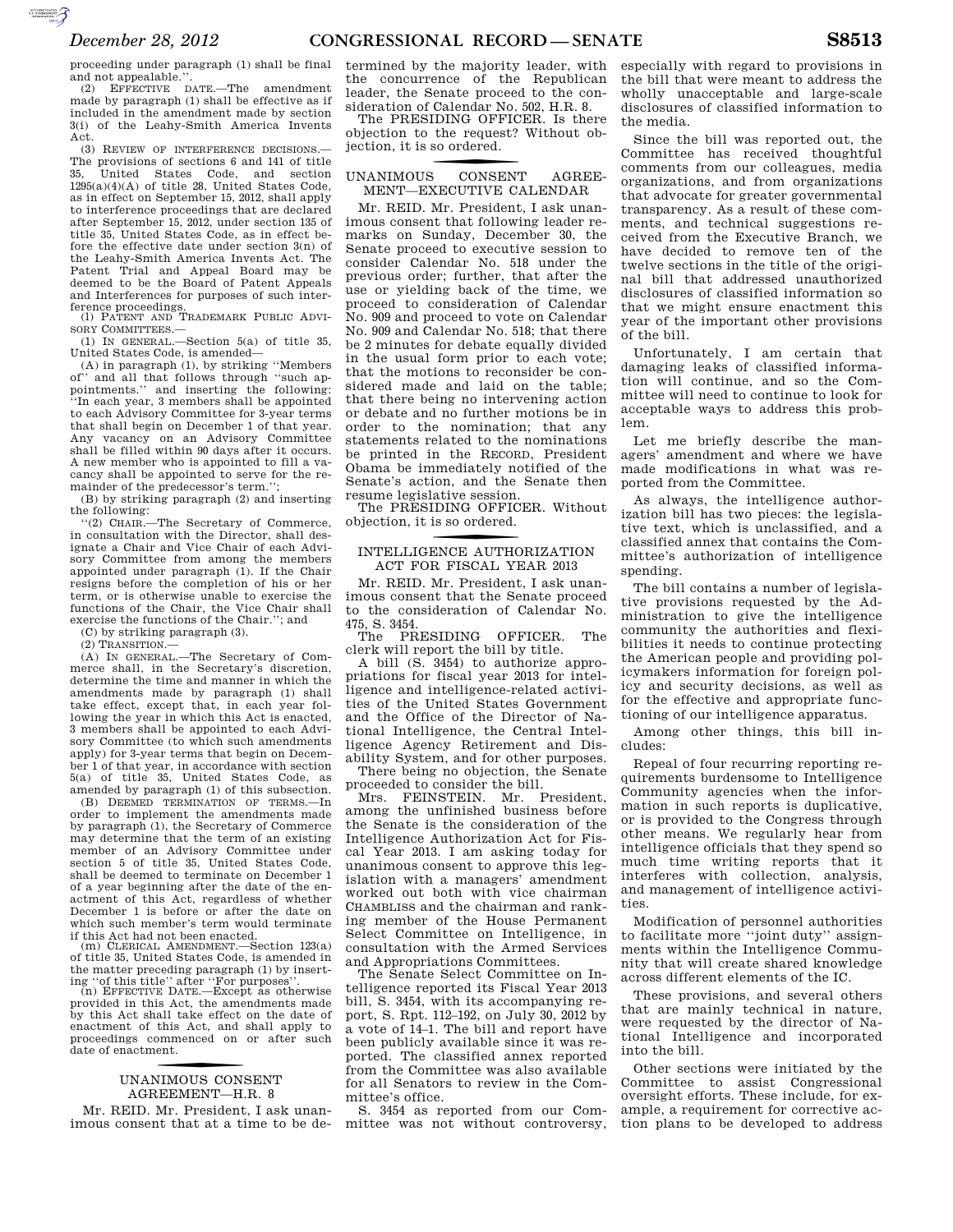proceeding under paragraph (1) shall be final and not appealable.'

(2) EFFECTIVE DATE.—The amendment made by paragraph (1) shall be effective as if included in the amendment made by section 3(i) of the Leahy-Smith America Invents Act.

(3) REVIEW OF INTERFERENCE DECISIONS.— The provisions of sections 6 and 141 of title 35, United States Code, and section  $1295(a)(4)(A)$  of title 28, United States Code, as in effect on September 15, 2012, shall apply to interference proceedings that are declared after September 15, 2012, under section 135 of title 35, United States Code, as in effect before the effective date under section 3(n) of the Leahy-Smith America Invents Act. The Patent Trial and Appeal Board may be deemed to be the Board of Patent Appeals and Interferences for purposes of such inter-

ference proceedings. (l) PATENT AND TRADEMARK PUBLIC ADVI-SORY COMMITTEES.—

(1) IN GENERAL.—Section 5(a) of title 35, United States Code, is amended—

(A) in paragraph  $(1)$ , by striking "Members of" and all that follows through "such apand all that follows through "such appointments.'' and inserting the following: ''In each year, 3 members shall be appointed to each Advisory Committee for 3-year terms that shall begin on December 1 of that year. Any vacancy on an Advisory Committee shall be filled within 90 days after it occurs. A new member who is appointed to fill a vacancy shall be appointed to serve for the remainder of the predecessor's term.'';

(B) by striking paragraph (2) and inserting the following:

''(2) CHAIR.—The Secretary of Commerce, in consultation with the Director, shall designate a Chair and Vice Chair of each Advisory Committee from among the members appointed under paragraph (1). If the Chair resigns before the completion of his or her term, or is otherwise unable to exercise the functions of the Chair, the Vice Chair shall exercise the functions of the Chair.''; and (C) by striking paragraph (3).

(2) TRANSITION.—

(A) IN GENERAL.—The Secretary of Commerce shall, in the Secretary's discretion, determine the time and manner in which the amendments made by paragraph (1) shall take effect, except that, in each year following the year in which this Act is enacted, 3 members shall be appointed to each Advisory Committee (to which such amendments apply) for 3-year terms that begin on December 1 of that year, in accordance with section 5(a) of title 35, United States Code, as amended by paragraph (1) of this subsection.

(B) DEEMED TERMINATION OF TERMS.—In order to implement the amendments made by paragraph (1), the Secretary of Commerce may determine that the term of an existing member of an Advisory Committee under section 5 of title 35, United States Code, shall be deemed to terminate on December 1 of a year beginning after the date of the enactment of this Act, regardless of whether December 1 is before or after the date on which such member's term would terminate

if this Act had not been enacted. (m) CLERICAL AMENDMENT.—Section 123(a) of title 35, United States Code, is amended in the matter preceding paragraph (1) by insert-

ing ''of this title'' after ''For purposes''. (n) EFFECTIVE DATE.—Except as otherwise provided in this Act, the amendments made by this Act shall take effect on the date of enactment of this Act, and shall apply to proceedings commenced on or after such date of enactment.

# UNANIMOUS CONSENT AGREEMENT—H.R. 8

Mr. REID. Mr. President, I ask unanimous consent that at a time to be de-

termined by the majority leader, with the concurrence of the Republican leader, the Senate proceed to the consideration of Calendar No. 502, H.R. 8.

The PRESIDING OFFICER. Is there objection to the request? Without objection, it is so ordered.

#### CONSENT UNANIMOUS CONSENT AGREE-MENT—EXECUTIVE CALENDAR

Mr. REID. Mr. President, I ask unanimous consent that following leader remarks on Sunday, December 30, the Senate proceed to executive session to consider Calendar No. 518 under the previous order; further, that after the use or yielding back of the time, we proceed to consideration of Calendar No. 909 and proceed to vote on Calendar No. 909 and Calendar No. 518; that there be 2 minutes for debate equally divided in the usual form prior to each vote; that the motions to reconsider be considered made and laid on the table; that there being no intervening action or debate and no further motions be in order to the nomination; that any statements related to the nominations be printed in the RECORD, President Obama be immediately notified of the Senate's action, and the Senate then resume legislative session.

The PRESIDING OFFICER. Without objection, it is so ordered.

## INTELLIGENCE AUTHORIZATION ACT FOR FISCAL YEAR 2013

Mr. REID. Mr. President, I ask unanimous consent that the Senate proceed to the consideration of Calendar No. 475, S. 3454.

The PRESIDING OFFICER. The clerk will report the bill by title.

A bill (S. 3454) to authorize appropriations for fiscal year 2013 for intelligence and intelligence-related activities of the United States Government and the Office of the Director of National Intelligence, the Central Intelligence Agency Retirement and Disability System, and for other purposes.

There being no objection, the Senate proceeded to consider the bill.

Mrs. FEINSTEIN. Mr. President, among the unfinished business before the Senate is the consideration of the Intelligence Authorization Act for Fiscal Year 2013. I am asking today for unanimous consent to approve this legislation with a managers' amendment worked out both with vice chairman CHAMBLISS and the chairman and ranking member of the House Permanent Select Committee on Intelligence, in consultation with the Armed Services and Appropriations Committees.

The Senate Select Committee on Intelligence reported its Fiscal Year 2013 bill, S. 3454, with its accompanying report, S. Rpt. 112–192, on July 30, 2012 by a vote of 14–1. The bill and report have been publicly available since it was reported. The classified annex reported from the Committee was also available for all Senators to review in the Committee's office.

S. 3454 as reported from our Committee was not without controversy, especially with regard to provisions in the bill that were meant to address the wholly unacceptable and large-scale disclosures of classified information to the media.

Since the bill was reported out, the Committee has received thoughtful comments from our colleagues, media organizations, and from organizations that advocate for greater governmental transparency. As a result of these comments, and technical suggestions received from the Executive Branch, we have decided to remove ten of the twelve sections in the title of the original bill that addressed unauthorized disclosures of classified information so that we might ensure enactment this year of the important other provisions of the bill.

Unfortunately, I am certain that damaging leaks of classified information will continue, and so the Committee will need to continue to look for acceptable ways to address this problem.

Let me briefly describe the managers' amendment and where we have made modifications in what was reported from the Committee.

As always, the intelligence authorization bill has two pieces: the legislative text, which is unclassified, and a classified annex that contains the Committee's authorization of intelligence spending.

The bill contains a number of legislative provisions requested by the Administration to give the intelligence community the authorities and flexibilities it needs to continue protecting the American people and providing policymakers information for foreign policy and security decisions, as well as for the effective and appropriate functioning of our intelligence apparatus.

Among other things, this bill includes:

Repeal of four recurring reporting requirements burdensome to Intelligence Community agencies when the information in such reports is duplicative, or is provided to the Congress through other means. We regularly hear from intelligence officials that they spend so much time writing reports that it interferes with collection, analysis, and management of intelligence activities.

Modification of personnel authorities to facilitate more ''joint duty'' assignments within the Intelligence Community that will create shared knowledge across different elements of the IC.

These provisions, and several others that are mainly technical in nature, were requested by the director of National Intelligence and incorporated into the bill.

Other sections were initiated by the Committee to assist Congressional oversight efforts. These include, for example, a requirement for corrective action plans to be developed to address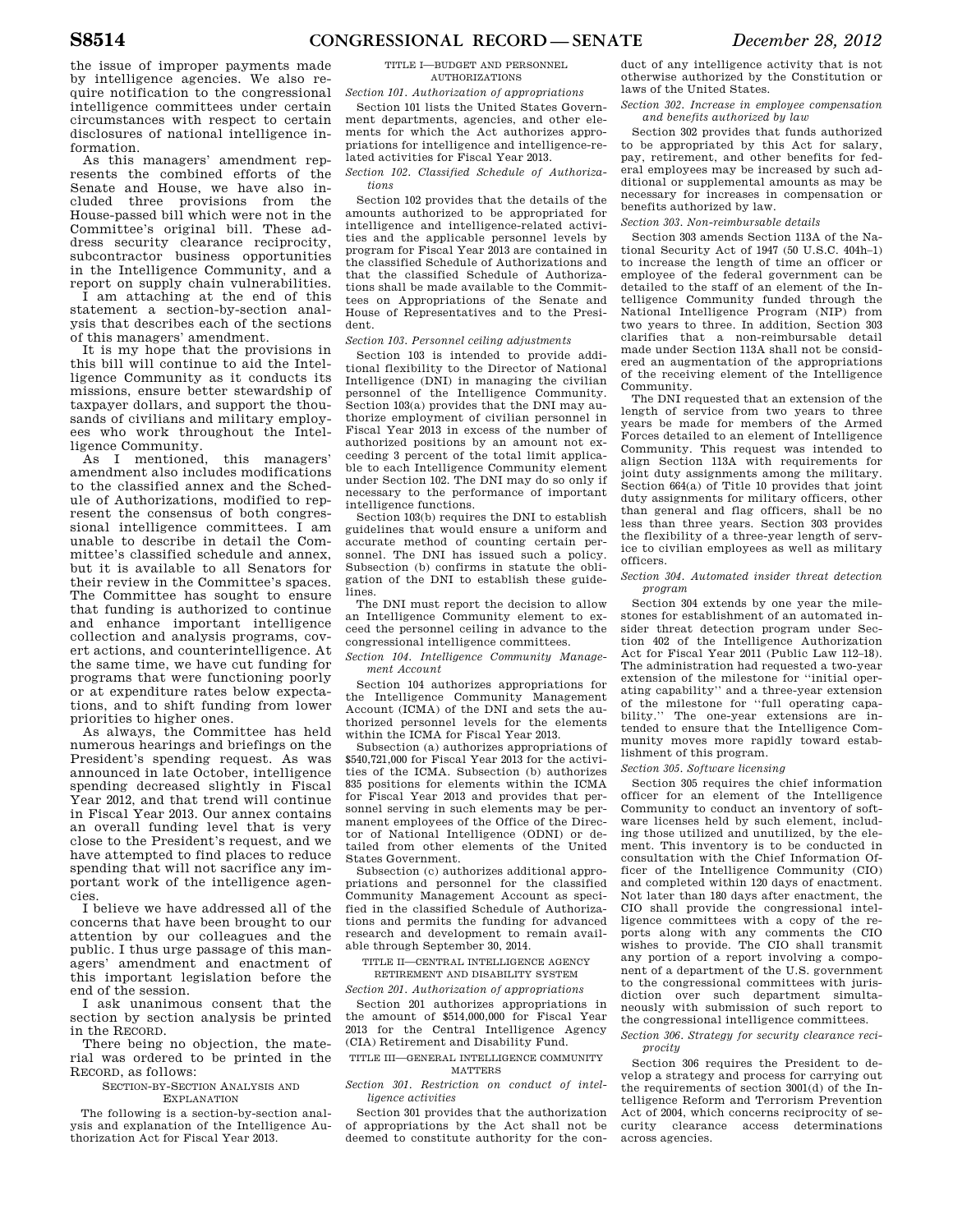the issue of improper payments made by intelligence agencies. We also require notification to the congressional intelligence committees under certain circumstances with respect to certain disclosures of national intelligence information.

As this managers' amendment represents the combined efforts of the Senate and House, we have also included three provisions from the House-passed bill which were not in the Committee's original bill. These address security clearance reciprocity, subcontractor business opportunities in the Intelligence Community, and a report on supply chain vulnerabilities.

I am attaching at the end of this statement a section-by-section analysis that describes each of the sections of this managers' amendment.

It is my hope that the provisions in this bill will continue to aid the Intelligence Community as it conducts its missions, ensure better stewardship of taxpayer dollars, and support the thousands of civilians and military employees who work throughout the Intelligence Community.

As I mentioned, this managers' amendment also includes modifications to the classified annex and the Schedule of Authorizations, modified to represent the consensus of both congressional intelligence committees. I am unable to describe in detail the Committee's classified schedule and annex, but it is available to all Senators for their review in the Committee's spaces. The Committee has sought to ensure that funding is authorized to continue and enhance important intelligence collection and analysis programs, covert actions, and counterintelligence. At the same time, we have cut funding for programs that were functioning poorly or at expenditure rates below expectations, and to shift funding from lower priorities to higher ones.

As always, the Committee has held numerous hearings and briefings on the President's spending request. As was announced in late October, intelligence spending decreased slightly in Fiscal Year 2012, and that trend will continue in Fiscal Year 2013. Our annex contains an overall funding level that is very close to the President's request, and we have attempted to find places to reduce spending that will not sacrifice any important work of the intelligence agencies.

I believe we have addressed all of the concerns that have been brought to our attention by our colleagues and the public. I thus urge passage of this managers' amendment and enactment of this important legislation before the end of the session.

I ask unanimous consent that the section by section analysis be printed in the RECORD.

There being no objection, the material was ordered to be printed in the RECORD, as follows:

#### SECTION-BY-SECTION ANALYSIS AND EXPLANATION

The following is a section-by-section analysis and explanation of the Intelligence Authorization Act for Fiscal Year 2013.

#### TITLE I—BUDGET AND PERSONNEL AUTHORIZATIONS

### *Section 101. Authorization of appropriations*

Section 101 lists the United States Government departments, agencies, and other elements for which the Act authorizes appropriations for intelligence and intelligence-related activities for Fiscal Year 2013.

*Section 102. Classified Schedule of Authorizations* 

Section 102 provides that the details of the amounts authorized to be appropriated for intelligence and intelligence-related activities and the applicable personnel levels by program for Fiscal Year 2013 are contained in the classified Schedule of Authorizations and that the classified Schedule of Authorizations shall be made available to the Committees on Appropriations of the Senate and House of Representatives and to the President.

### *Section 103. Personnel ceiling adjustments*

Section 103 is intended to provide additional flexibility to the Director of National Intelligence (DNI) in managing the civilian personnel of the Intelligence Community. Section 103(a) provides that the DNI may authorize employment of civilian personnel in Fiscal Year 2013 in excess of the number of authorized positions by an amount not exceeding 3 percent of the total limit applicable to each Intelligence Community element under Section 102. The DNI may do so only if necessary to the performance of important intelligence functions.

Section 103(b) requires the DNI to establish guidelines that would ensure a uniform and accurate method of counting certain personnel. The DNI has issued such a policy. Subsection (b) confirms in statute the obligation of the DNI to establish these guidelines.

The DNI must report the decision to allow an Intelligence Community element to exceed the personnel ceiling in advance to the congressional intelligence committees.

### *Section 104. Intelligence Community Management Account*

Section 104 authorizes appropriations for the Intelligence Community Management Account (ICMA) of the DNI and sets the authorized personnel levels for the elements within the ICMA for Fiscal Year 2013.

Subsection (a) authorizes appropriations of \$540,721,000 for Fiscal Year 2013 for the activities of the ICMA. Subsection (b) authorizes 835 positions for elements within the ICMA for Fiscal Year 2013 and provides that personnel serving in such elements may be permanent employees of the Office of the Director of National Intelligence (ODNI) or detailed from other elements of the United States Government.

Subsection (c) authorizes additional appropriations and personnel for the classified Community Management Account as specified in the classified Schedule of Authorizations and permits the funding for advanced research and development to remain available through September 30, 2014.

TITLE II—CENTRAL INTELLIGENCE AGENCY RETIREMENT AND DISABILITY SYSTEM

*Section 201. Authorization of appropriations* 

Section 201 authorizes appropriations in the amount of \$514,000,000 for Fiscal Year 2013 for the Central Intelligence Agency (CIA) Retirement and Disability Fund.

## TITLE III—GENERAL INTELLIGENCE COMMUNITY **MATTERS**

*Section 301. Restriction on conduct of intelligence activities* 

Section 301 provides that the authorization of appropriations by the Act shall not be deemed to constitute authority for the con-

duct of any intelligence activity that is not otherwise authorized by the Constitution or laws of the United States.

*Section 302. Increase in employee compensation and benefits authorized by law* 

Section 302 provides that funds authorized to be appropriated by this Act for salary, pay, retirement, and other benefits for federal employees may be increased by such additional or supplemental amounts as may be necessary for increases in compensation or benefits authorized by law.

## *Section 303. Non-reimbursable details*

Section 303 amends Section 113A of the National Security Act of 1947 (50 U.S.C. 404h–1) to increase the length of time an officer or employee of the federal government can be detailed to the staff of an element of the Intelligence Community funded through the National Intelligence Program (NIP) from two years to three. In addition, Section 303 clarifies that a non-reimbursable detail made under Section 113A shall not be considered an augmentation of the appropriations of the receiving element of the Intelligence Community.

The DNI requested that an extension of the length of service from two years to three years be made for members of the Armed Forces detailed to an element of Intelligence Community. This request was intended to align Section 113A with requirements for joint duty assignments among the military. Section 664(a) of Title 10 provides that joint duty assignments for military officers, other than general and flag officers, shall be no less than three years. Section 303 provides the flexibility of a three-year length of service to civilian employees as well as military officers.

*Section 304. Automated insider threat detection program* 

Section 304 extends by one year the milestones for establishment of an automated insider threat detection program under Section 402 of the Intelligence Authorization Act for Fiscal Year 2011 (Public Law 112–18). The administration had requested a two-year extension of the milestone for ''initial operating capability'' and a three-year extension of the milestone for "full operating capa-<br>bility." The one-vear extensions are in-The one-year extensions are intended to ensure that the Intelligence Community moves more rapidly toward establishment of this program.

*Section 305. Software licensing* 

Section 305 requires the chief information officer for an element of the Intelligence Community to conduct an inventory of software licenses held by such element, including those utilized and unutilized, by the element. This inventory is to be conducted in consultation with the Chief Information Officer of the Intelligence Community (CIO) and completed within 120 days of enactment. Not later than 180 days after enactment, the CIO shall provide the congressional intelligence committees with a copy of the reports along with any comments the CIO wishes to provide. The CIO shall transmit any portion of a report involving a component of a department of the U.S. government to the congressional committees with jurisdiction over such department simultaneously with submission of such report to the congressional intelligence committees.

*Section 306. Strategy for security clearance reciprocity* 

Section 306 requires the President to develop a strategy and process for carrying out the requirements of section 3001(d) of the Intelligence Reform and Terrorism Prevention Act of 2004, which concerns reciprocity of security clearance access determinations across agencies.